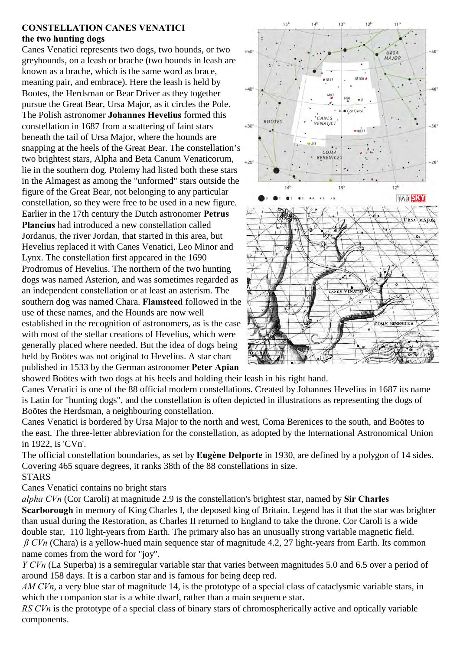## **CONSTELLATION CANES VENATICI the two hunting dogs**

Canes Venatici represents two dogs, two hounds, or two greyhounds, on a leash or brache (two hounds in leash are known as a brache, which is the same word as brace, meaning pair, and embrace). Here the leash is held by Bootes, the Herdsman or Bear Driver as they together pursue the Great Bear, Ursa Major, as it circles the Pole. The Polish astronomer **Johannes Hevelius** formed this constellation in 1687 from a scattering of faint stars beneath the tail of Ursa Major, where the hounds are snapping at the heels of the Great Bear. The constellation's two brightest stars, Alpha and Beta Canum Venaticorum, lie in the southern dog. Ptolemy had listed both these stars in the Almagest as among the "unformed" stars outside the figure of the Great Bear, not belonging to any particular constellation, so they were free to be used in a new figure. Earlier in the 17th century the Dutch astronomer **Petrus Plancius** had introduced a new constellation called Jordanus, the river Jordan, that started in this area, but Hevelius replaced it with Canes Venatici, Leo Minor and Lynx. The constellation first appeared in the 1690 Prodromus of Hevelius. The northern of the two hunting dogs was named Asterion, and was sometimes regarded as an independent constellation or at least an asterism. The southern dog was named Chara. **Flamsteed** followed in the use of these names, and the Hounds are now well established in the recognition of astronomers, as is the case with most of the stellar creations of Hevelius, which were generally placed where needed. But the idea of dogs being held by Boötes was not original to Hevelius. A star chart published in 1533 by the German astronomer **Peter Apian**



showed Boötes with two dogs at his heels and holding their leash in his right hand.

Canes Venatici is one of the 88 official modern constellations. Created by Johannes Hevelius in 1687 its name is Latin for "hunting dogs", and the constellation is often depicted in illustrations as representing the dogs of Boötes the Herdsman, a neighbouring constellation.

Canes Venatici is bordered by Ursa Major to the north and west, Coma Berenices to the south, and Boötes to the east. The three-letter abbreviation for the constellation, as adopted by the International Astronomical Union in 1922, is 'CVn'.

The official constellation boundaries, as set by **Eugène Delporte** in 1930, are defined by a polygon of 14 sides. Covering 465 square degrees, it ranks 38th of the 88 constellations in size. **STARS** 

Canes Venatici contains no bright stars

*alpha CVn* (Cor Caroli) at magnitude 2.9 is the constellation's brightest star, named by **Sir Charles Scarborough** in memory of King Charles I, the deposed king of Britain. Legend has it that the star was brighter than usual during the Restoration, as Charles II returned to England to take the throne. Cor Caroli is a wide double star, 110 light-years from Earth. The primary also has an unusually strong variable magnetic field. *ß CVn* (Chara) is a yellow-hued main sequence star of magnitude 4.2, 27 light-years from Earth. Its common name comes from the word for "joy".

*Y CVn* (La Superba) is a semiregular variable star that varies between magnitudes 5.0 and 6.5 over a period of around 158 days. It is a carbon star and is famous for being deep red.

*AM CVn*, a very blue star of magnitude 14, is the prototype of a special class of cataclysmic variable stars, in which the companion star is a white dwarf, rather than a main sequence star.

*RS CVn* is the prototype of a special class of binary stars of chromospherically active and optically variable components.